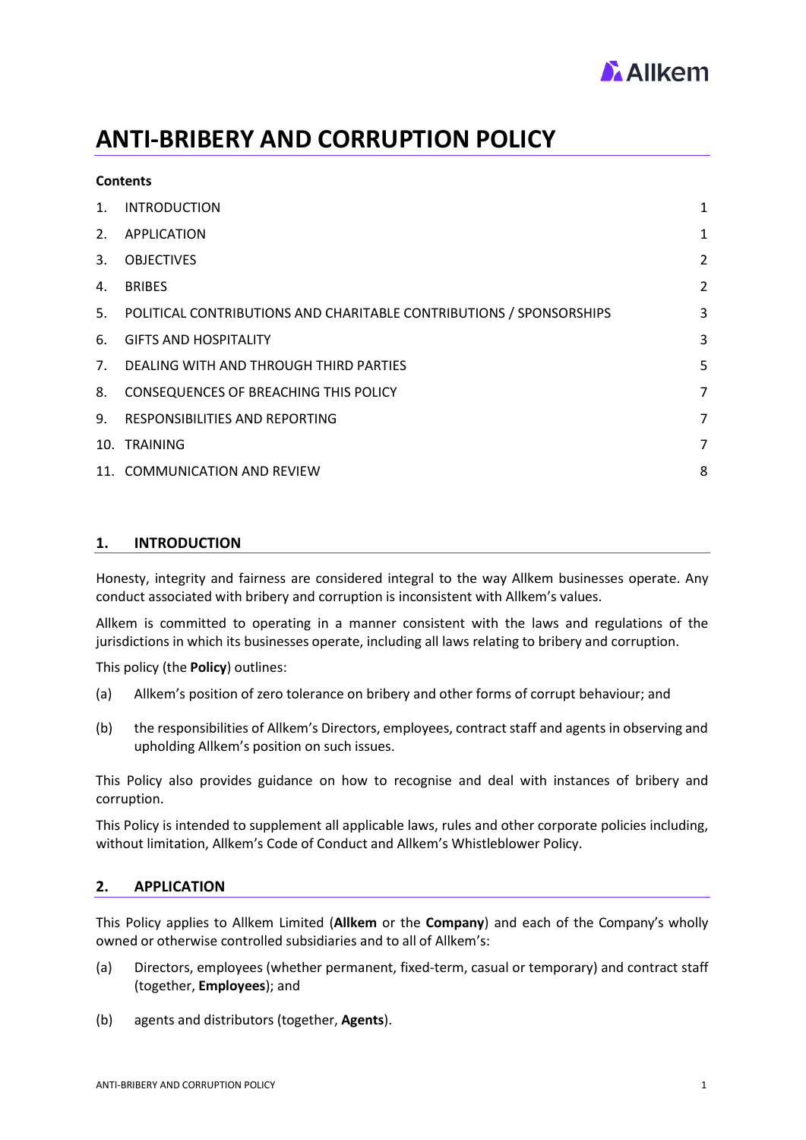

# **ANTI-BRIBERY AND CORRUPTION POLICY**

| $\mathbf{1}$ . | <b>INTRODUCTION</b>                                                    | 1              |
|----------------|------------------------------------------------------------------------|----------------|
| 2.             | APPLICATION                                                            | 1              |
| 3.             | <b>OBJECTIVES</b>                                                      | $\overline{2}$ |
| 4.             | <b>BRIBES</b>                                                          | $\overline{2}$ |
|                | 5. POLITICAL CONTRIBUTIONS AND CHARITABLE CONTRIBUTIONS / SPONSORSHIPS | 3              |
| 6.             | <b>GIFTS AND HOSPITALITY</b>                                           | 3              |
|                | 7. DEALING WITH AND THROUGH THIRD PARTIES                              | 5              |
| 8.             | CONSEQUENCES OF BREACHING THIS POLICY                                  | 7              |
|                | 9. RESPONSIBILITIES AND REPORTING                                      | 7              |
|                | 10. TRAINING                                                           | 7              |
|                | 11. COMMUNICATION AND REVIEW                                           | 8              |

# <span id="page-0-0"></span>**1. INTRODUCTION**

**Contents**

Honesty, integrity and fairness are considered integral to the way Allkem businesses operate. Any conduct associated with bribery and corruption is inconsistent with Allkem's values.

Allkem is committed to operating in a manner consistent with the laws and regulations of the jurisdictions in which its businesses operate, including all laws relating to bribery and corruption.

This policy (the **Policy**) outlines:

- (a) Allkem's position of zero tolerance on bribery and other forms of corrupt behaviour; and
- (b) the responsibilities of Allkem's Directors, employees, contract staff and agents in observing and upholding Allkem's position on such issues.

This Policy also provides guidance on how to recognise and deal with instances of bribery and corruption.

This Policy is intended to supplement all applicable laws, rules and other corporate policies including, without limitation, Allkem's Code of Conduct and Allkem's Whistleblower Policy.

# <span id="page-0-1"></span>**2. APPLICATION**

This Policy applies to Allkem Limited (**Allkem** or the **Company**) and each of the Company's wholly owned or otherwise controlled subsidiaries and to all of Allkem's:

- (a) Directors, employees (whether permanent, fixed-term, casual or temporary) and contract staff (together, **Employees**); and
- (b) agents and distributors (together, **Agents**).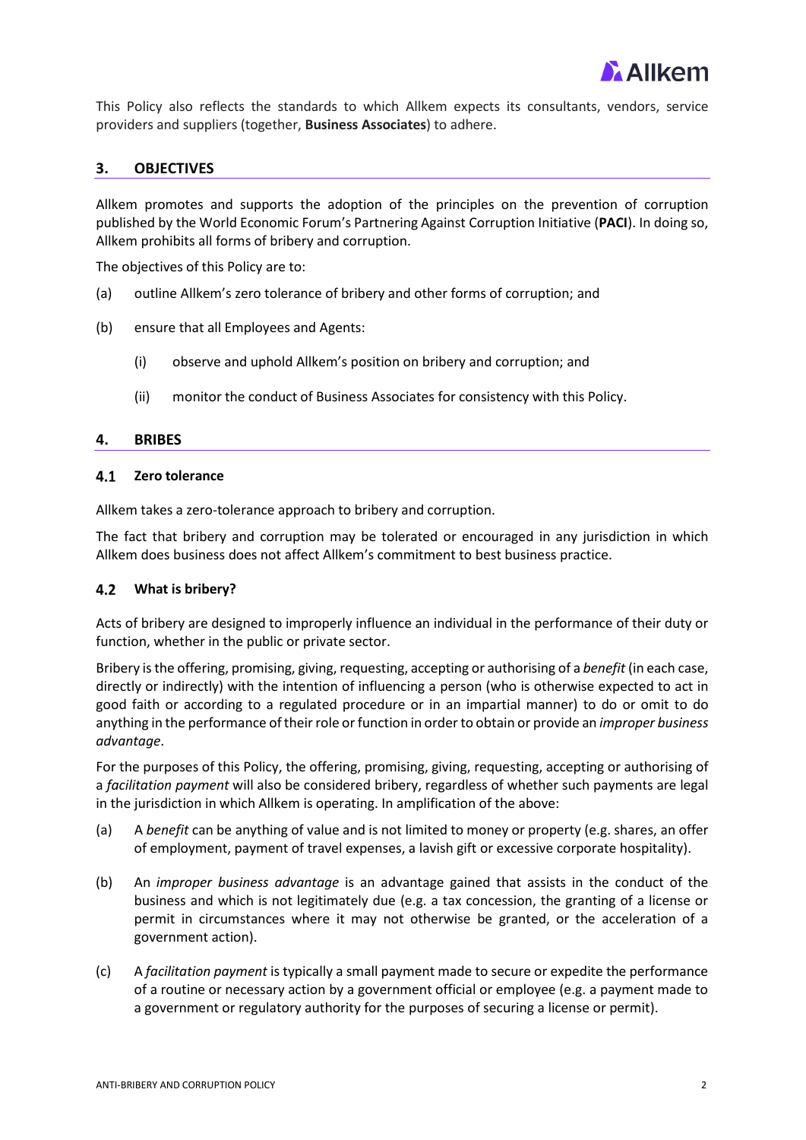

This Policy also reflects the standards to which Allkem expects its consultants, vendors, service providers and suppliers (together, **Business Associates**) to adhere.

# <span id="page-1-0"></span>**3. OBJECTIVES**

Allkem promotes and supports the adoption of the principles on the prevention of corruption published by the World Economic Forum's Partnering Against Corruption Initiative (**PACI**). In doing so, Allkem prohibits all forms of bribery and corruption.

The objectives of this Policy are to:

- (a) outline Allkem's zero tolerance of bribery and other forms of corruption; and
- (b) ensure that all Employees and Agents:
	- (i) observe and uphold Allkem's position on bribery and corruption; and
	- (ii) monitor the conduct of Business Associates for consistency with this Policy.

# <span id="page-1-1"></span>**4. BRIBES**

#### $4.1$ **Zero tolerance**

Allkem takes a zero-tolerance approach to bribery and corruption.

The fact that bribery and corruption may be tolerated or encouraged in any jurisdiction in which Allkem does business does not affect Allkem's commitment to best business practice.

### **What is bribery?**

Acts of bribery are designed to improperly influence an individual in the performance of their duty or function, whether in the public or private sector.

Bribery is the offering, promising, giving, requesting, accepting or authorising of a *benefit* (in each case, directly or indirectly) with the intention of influencing a person (who is otherwise expected to act in good faith or according to a regulated procedure or in an impartial manner) to do or omit to do anything in the performance of their role or function in order to obtain or provide an *improper business advantage*.

For the purposes of this Policy, the offering, promising, giving, requesting, accepting or authorising of a *facilitation payment* will also be considered bribery, regardless of whether such payments are legal in the jurisdiction in which Allkem is operating. In amplification of the above:

- (a) A *benefit* can be anything of value and is not limited to money or property (e.g. shares, an offer of employment, payment of travel expenses, a lavish gift or excessive corporate hospitality).
- (b) An *improper business advantage* is an advantage gained that assists in the conduct of the business and which is not legitimately due (e.g. a tax concession, the granting of a license or permit in circumstances where it may not otherwise be granted, or the acceleration of a government action).
- (c) A *facilitation payment* is typically a small payment made to secure or expedite the performance of a routine or necessary action by a government official or employee (e.g. a payment made to a government or regulatory authority for the purposes of securing a license or permit).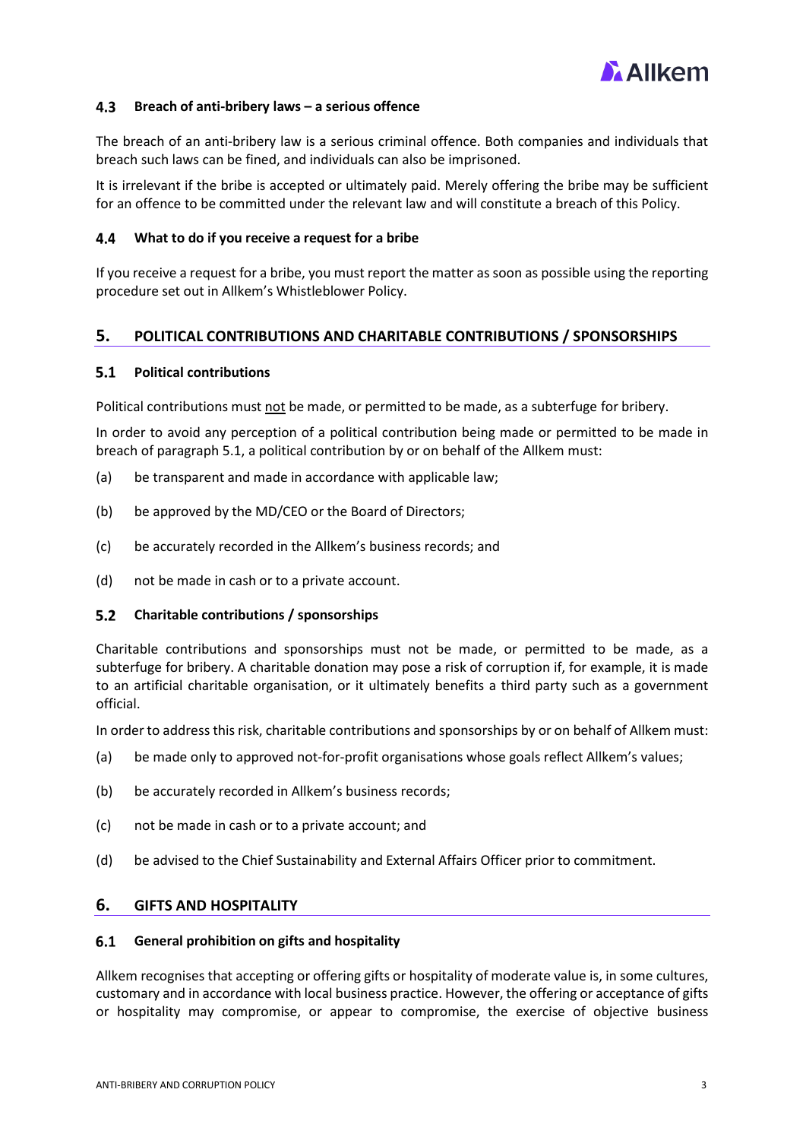

#### $4.3$ **Breach of anti-bribery laws – a serious offence**

The breach of an anti-bribery law is a serious criminal offence. Both companies and individuals that breach such laws can be fined, and individuals can also be imprisoned.

It is irrelevant if the bribe is accepted or ultimately paid. Merely offering the bribe may be sufficient for an offence to be committed under the relevant law and will constitute a breach of this Policy.

#### $4.4$ **What to do if you receive a request for a bribe**

If you receive a request for a bribe, you must report the matter as soon as possible using the reporting procedure set out in Allkem's Whistleblower Policy.

# <span id="page-2-0"></span>**5. POLITICAL CONTRIBUTIONS AND CHARITABLE CONTRIBUTIONS / SPONSORSHIPS**

#### $5.1$ **Political contributions**

Political contributions must not be made, or permitted to be made, as a subterfuge for bribery.

In order to avoid any perception of a political contribution being made or permitted to be made in breach of paragraph 5.1, a political contribution by or on behalf of the Allkem must:

- (a) be transparent and made in accordance with applicable law;
- (b) be approved by the MD/CEO or the Board of Directors;
- (c) be accurately recorded in the Allkem's business records; and
- (d) not be made in cash or to a private account.

#### $5.2$ **Charitable contributions / sponsorships**

Charitable contributions and sponsorships must not be made, or permitted to be made, as a subterfuge for bribery. A charitable donation may pose a risk of corruption if, for example, it is made to an artificial charitable organisation, or it ultimately benefits a third party such as a government official.

In order to address this risk, charitable contributions and sponsorships by or on behalf of Allkem must:

- (a) be made only to approved not-for-profit organisations whose goals reflect Allkem's values;
- (b) be accurately recorded in Allkem's business records;
- (c) not be made in cash or to a private account; and
- (d) be advised to the Chief Sustainability and External Affairs Officer prior to commitment.

# <span id="page-2-1"></span>**6. GIFTS AND HOSPITALITY**

#### $6.1$ **General prohibition on gifts and hospitality**

Allkem recognises that accepting or offering gifts or hospitality of moderate value is, in some cultures, customary and in accordance with local business practice. However, the offering or acceptance of gifts or hospitality may compromise, or appear to compromise, the exercise of objective business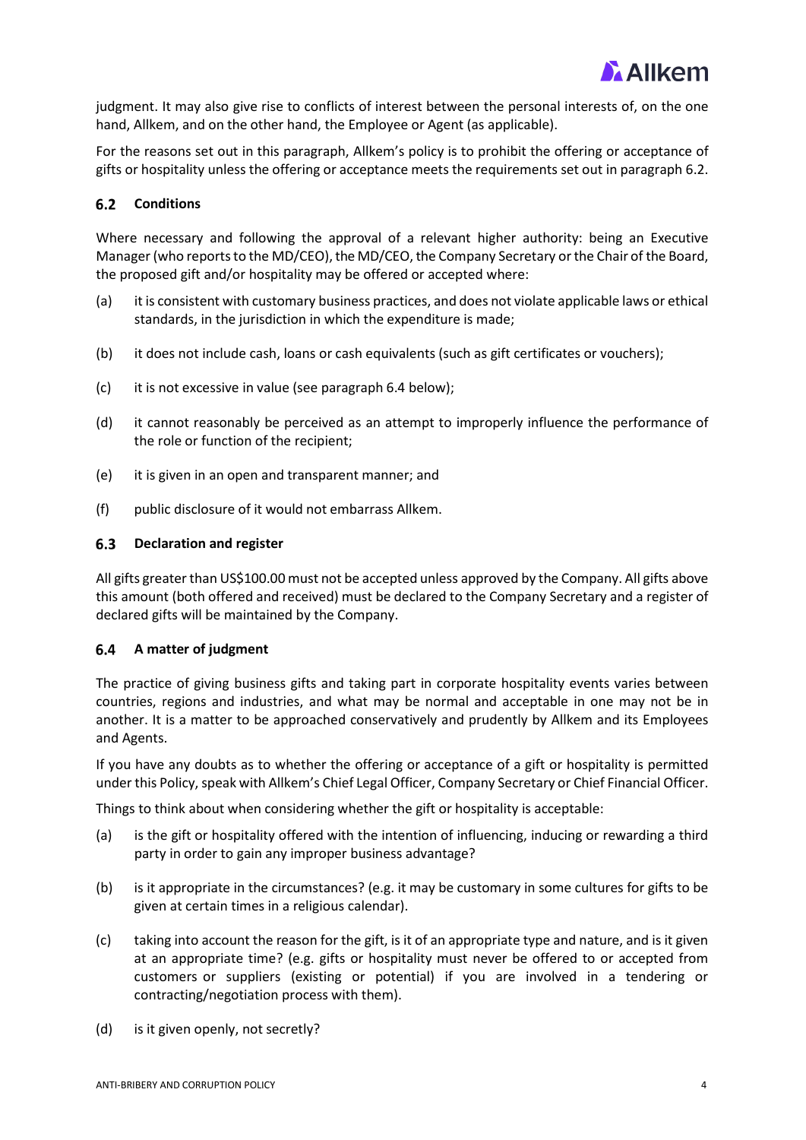

judgment. It may also give rise to conflicts of interest between the personal interests of, on the one hand, Allkem, and on the other hand, the Employee or Agent (as applicable).

For the reasons set out in this paragraph, Allkem's policy is to prohibit the offering or acceptance of gifts or hospitality unless the offering or acceptance meets the requirements set out in paragraph 6.2.

# **Conditions**

Where necessary and following the approval of a relevant higher authority: being an Executive Manager (who reports to the MD/CEO), the MD/CEO, the Company Secretary or the Chair of the Board, the proposed gift and/or hospitality may be offered or accepted where:

- (a) it is consistent with customary business practices, and does not violate applicable laws or ethical standards, in the jurisdiction in which the expenditure is made;
- (b) it does not include cash, loans or cash equivalents (such as gift certificates or vouchers);
- (c) it is not excessive in value (see paragraph 6.4 below);
- (d) it cannot reasonably be perceived as an attempt to improperly influence the performance of the role or function of the recipient;
- (e) it is given in an open and transparent manner; and
- (f) public disclosure of it would not embarrass Allkem.

# **Declaration and register**

All gifts greater than US\$100.00 must not be accepted unless approved by the Company. All gifts above this amount (both offered and received) must be declared to the Company Secretary and a register of declared gifts will be maintained by the Company.

#### $6.4$ **A matter of judgment**

The practice of giving business gifts and taking part in corporate hospitality events varies between countries, regions and industries, and what may be normal and acceptable in one may not be in another. It is a matter to be approached conservatively and prudently by Allkem and its Employees and Agents.

If you have any doubts as to whether the offering or acceptance of a gift or hospitality is permitted under this Policy, speak with Allkem's Chief Legal Officer, Company Secretary or Chief Financial Officer.

Things to think about when considering whether the gift or hospitality is acceptable:

- (a) is the gift or hospitality offered with the intention of influencing, inducing or rewarding a third party in order to gain any improper business advantage?
- (b) is it appropriate in the circumstances? (e.g. it may be customary in some cultures for gifts to be given at certain times in a religious calendar).
- (c) taking into account the reason for the gift, is it of an appropriate type and nature, and is it given at an appropriate time? (e.g. gifts or hospitality must never be offered to or accepted from customers or suppliers (existing or potential) if you are involved in a tendering or contracting/negotiation process with them).
- (d) is it given openly, not secretly?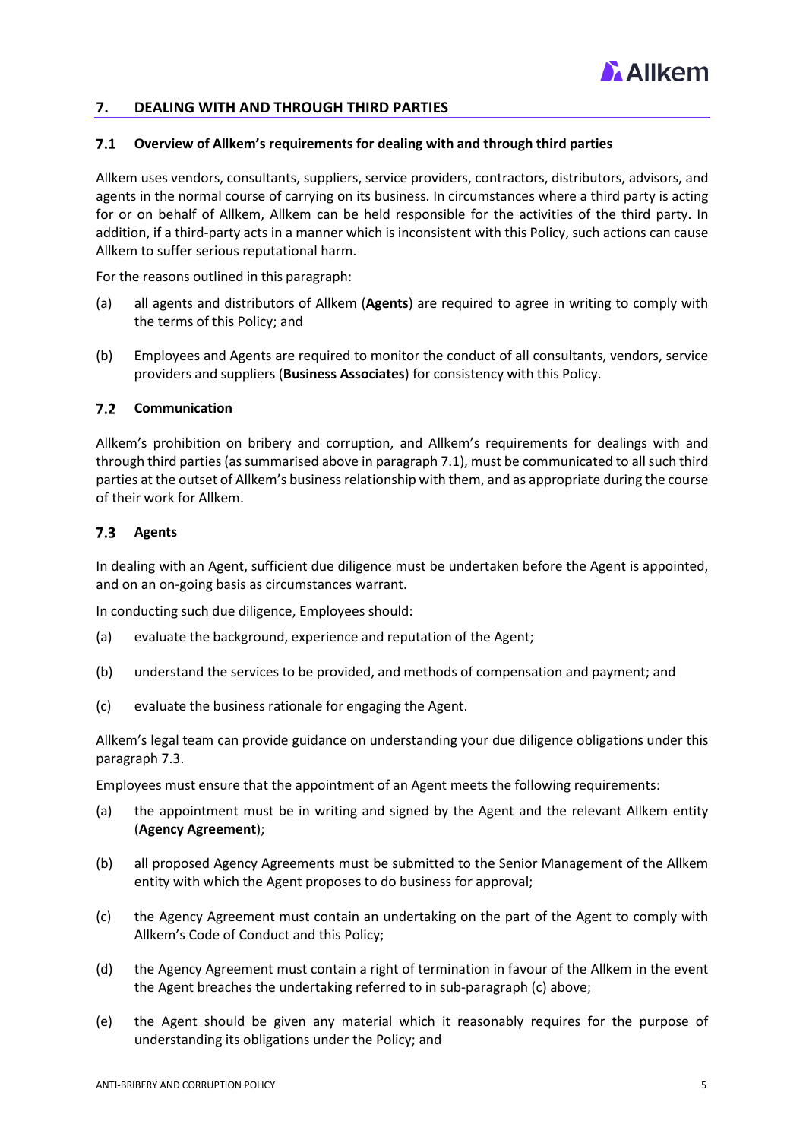

# <span id="page-4-0"></span>**7. DEALING WITH AND THROUGH THIRD PARTIES**

### **Overview of Allkem's requirements for dealing with and through third parties**

Allkem uses vendors, consultants, suppliers, service providers, contractors, distributors, advisors, and agents in the normal course of carrying on its business. In circumstances where a third party is acting for or on behalf of Allkem, Allkem can be held responsible for the activities of the third party. In addition, if a third-party acts in a manner which is inconsistent with this Policy, such actions can cause Allkem to suffer serious reputational harm.

For the reasons outlined in this paragraph:

- (a) all agents and distributors of Allkem (**Agents**) are required to agree in writing to comply with the terms of this Policy; and
- (b) Employees and Agents are required to monitor the conduct of all consultants, vendors, service providers and suppliers (**Business Associates**) for consistency with this Policy.

### **7.2** Communication

Allkem's prohibition on bribery and corruption, and Allkem's requirements for dealings with and through third parties (as summarised above in paragraph 7.1), must be communicated to all such third parties at the outset of Allkem's business relationship with them, and as appropriate during the course of their work for Allkem.

# **Agents**

In dealing with an Agent, sufficient due diligence must be undertaken before the Agent is appointed, and on an on-going basis as circumstances warrant.

In conducting such due diligence, Employees should:

- (a) evaluate the background, experience and reputation of the Agent;
- (b) understand the services to be provided, and methods of compensation and payment; and
- (c) evaluate the business rationale for engaging the Agent.

Allkem's legal team can provide guidance on understanding your due diligence obligations under this paragraph 7.3.

Employees must ensure that the appointment of an Agent meets the following requirements:

- (a) the appointment must be in writing and signed by the Agent and the relevant Allkem entity (**Agency Agreement**);
- (b) all proposed Agency Agreements must be submitted to the Senior Management of the Allkem entity with which the Agent proposes to do business for approval;
- (c) the Agency Agreement must contain an undertaking on the part of the Agent to comply with Allkem's Code of Conduct and this Policy;
- (d) the Agency Agreement must contain a right of termination in favour of the Allkem in the event the Agent breaches the undertaking referred to in sub-paragraph (c) above;
- (e) the Agent should be given any material which it reasonably requires for the purpose of understanding its obligations under the Policy; and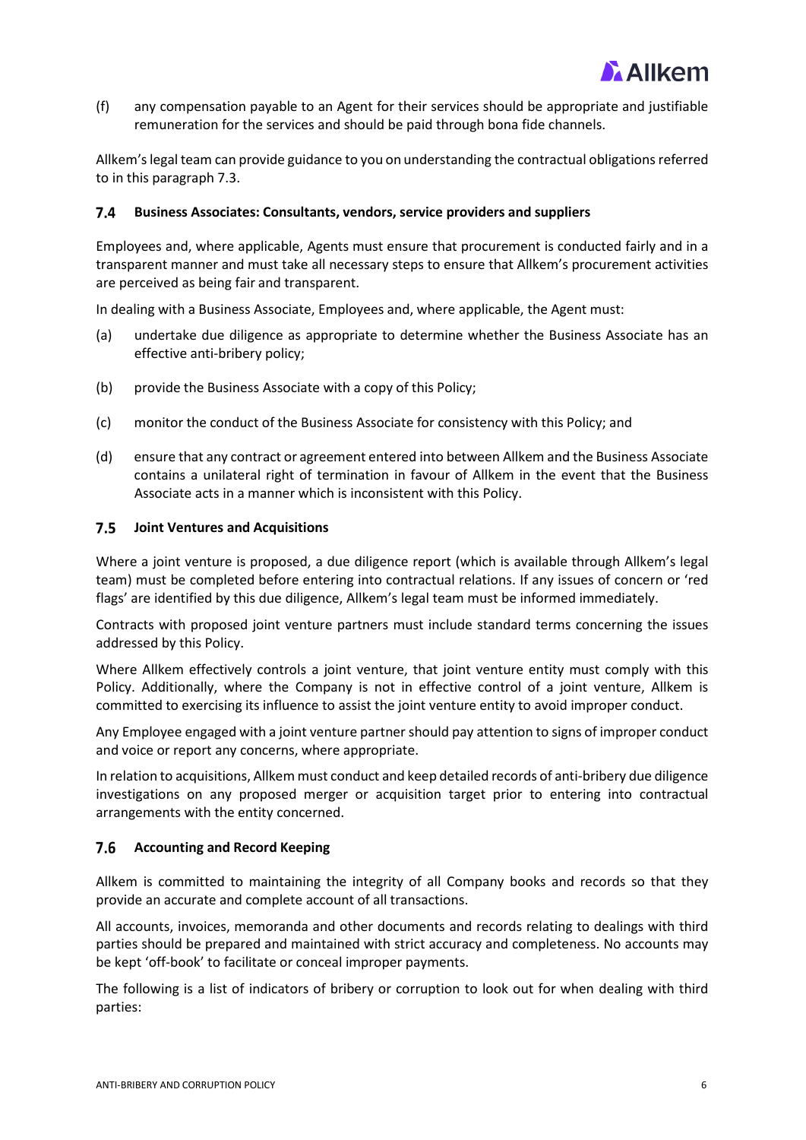

(f) any compensation payable to an Agent for their services should be appropriate and justifiable remuneration for the services and should be paid through bona fide channels.

Allkem'slegal team can provide guidance to you on understanding the contractual obligations referred to in this paragraph 7.3.

#### $7.4$ **Business Associates: Consultants, vendors, service providers and suppliers**

Employees and, where applicable, Agents must ensure that procurement is conducted fairly and in a transparent manner and must take all necessary steps to ensure that Allkem's procurement activities are perceived as being fair and transparent.

In dealing with a Business Associate, Employees and, where applicable, the Agent must:

- (a) undertake due diligence as appropriate to determine whether the Business Associate has an effective anti-bribery policy;
- (b) provide the Business Associate with a copy of this Policy;
- (c) monitor the conduct of the Business Associate for consistency with this Policy; and
- (d) ensure that any contract or agreement entered into between Allkem and the Business Associate contains a unilateral right of termination in favour of Allkem in the event that the Business Associate acts in a manner which is inconsistent with this Policy.

# **Joint Ventures and Acquisitions**

Where a joint venture is proposed, a due diligence report (which is available through Allkem's legal team) must be completed before entering into contractual relations. If any issues of concern or 'red flags' are identified by this due diligence, Allkem's legal team must be informed immediately.

Contracts with proposed joint venture partners must include standard terms concerning the issues addressed by this Policy.

Where Allkem effectively controls a joint venture, that joint venture entity must comply with this Policy. Additionally, where the Company is not in effective control of a joint venture, Allkem is committed to exercising its influence to assist the joint venture entity to avoid improper conduct.

Any Employee engaged with a joint venture partner should pay attention to signs of improper conduct and voice or report any concerns, where appropriate.

In relation to acquisitions, Allkem must conduct and keep detailed records of anti-bribery due diligence investigations on any proposed merger or acquisition target prior to entering into contractual arrangements with the entity concerned.

# **Accounting and Record Keeping**

Allkem is committed to maintaining the integrity of all Company books and records so that they provide an accurate and complete account of all transactions.

All accounts, invoices, memoranda and other documents and records relating to dealings with third parties should be prepared and maintained with strict accuracy and completeness. No accounts may be kept 'off-book' to facilitate or conceal improper payments.

The following is a list of indicators of bribery or corruption to look out for when dealing with third parties: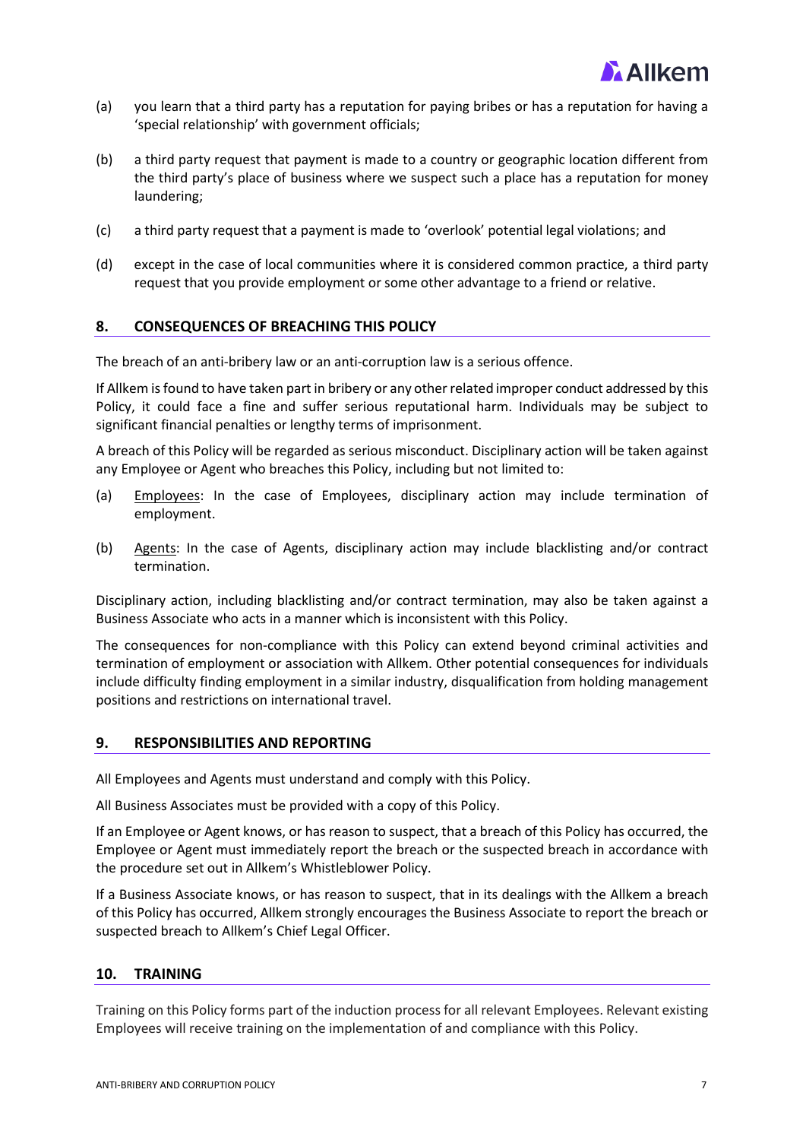

- (a) you learn that a third party has a reputation for paying bribes or has a reputation for having a 'special relationship' with government officials;
- (b) a third party request that payment is made to a country or geographic location different from the third party's place of business where we suspect such a place has a reputation for money laundering;
- (c) a third party request that a payment is made to 'overlook' potential legal violations; and
- (d) except in the case of local communities where it is considered common practice, a third party request that you provide employment or some other advantage to a friend or relative.

# <span id="page-6-0"></span>**8. CONSEQUENCES OF BREACHING THIS POLICY**

The breach of an anti-bribery law or an anti-corruption law is a serious offence.

If Allkem is found to have taken part in bribery or any other related improper conduct addressed by this Policy, it could face a fine and suffer serious reputational harm. Individuals may be subject to significant financial penalties or lengthy terms of imprisonment.

A breach of this Policy will be regarded as serious misconduct. Disciplinary action will be taken against any Employee or Agent who breaches this Policy, including but not limited to:

- (a) Employees: In the case of Employees, disciplinary action may include termination of employment.
- (b) Agents: In the case of Agents, disciplinary action may include blacklisting and/or contract termination.

Disciplinary action, including blacklisting and/or contract termination, may also be taken against a Business Associate who acts in a manner which is inconsistent with this Policy.

The consequences for non-compliance with this Policy can extend beyond criminal activities and termination of employment or association with Allkem. Other potential consequences for individuals include difficulty finding employment in a similar industry, disqualification from holding management positions and restrictions on international travel.

# <span id="page-6-1"></span>**9. RESPONSIBILITIES AND REPORTING**

All Employees and Agents must understand and comply with this Policy.

All Business Associates must be provided with a copy of this Policy.

If an Employee or Agent knows, or has reason to suspect, that a breach of this Policy has occurred, the Employee or Agent must immediately report the breach or the suspected breach in accordance with the procedure set out in Allkem's Whistleblower Policy.

If a Business Associate knows, or has reason to suspect, that in its dealings with the Allkem a breach of this Policy has occurred, Allkem strongly encourages the Business Associate to report the breach or suspected breach to Allkem's Chief Legal Officer.

# <span id="page-6-2"></span>**10. TRAINING**

Training on this Policy forms part of the induction process for all relevant Employees. Relevant existing Employees will receive training on the implementation of and compliance with this Policy.